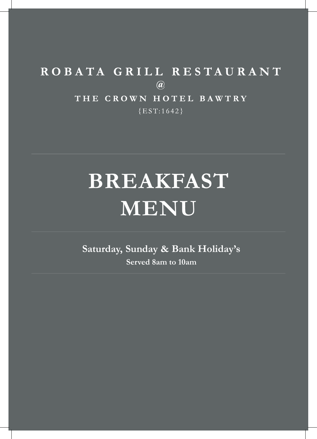## ROBATA GRILL RESTAURANT  $\circledR$ THE CROWN HOTEL BAWTRY  ${EST:1642}$

# **BREAKFAST MENU**

**Saturday, Sunday & Bank Holiday's Served 8am to 10am**